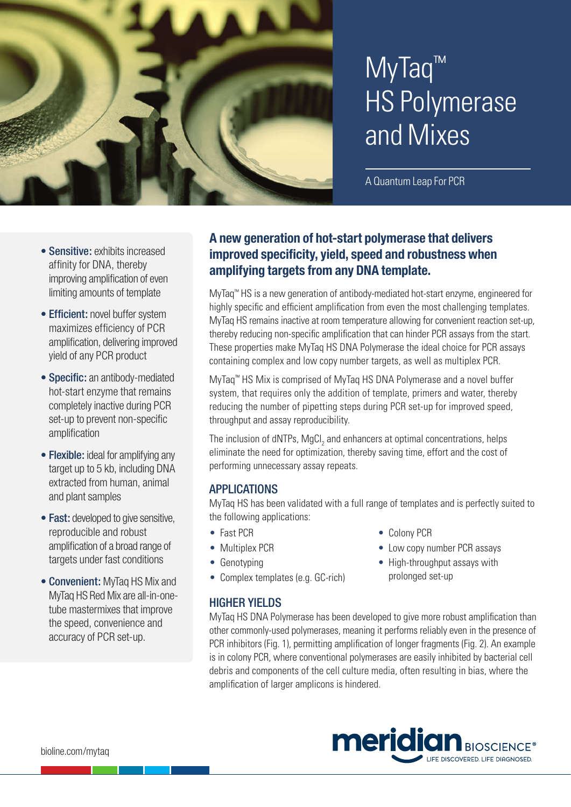

# MyTaq™ HS Polymerase and Mixes

A Quantum Leap For PCR

- Sensitive: exhibits increased affinity for DNA, thereby improving amplification of even limiting amounts of template
- Efficient: novel buffer system maximizes efficiency of PCR amplification, delivering improved yield of any PCR product
- Specific: an antibody-mediated hot-start enzyme that remains completely inactive during PCR set-up to prevent non-specific amplification
- Flexible: ideal for amplifying any target up to 5 kb, including DNA extracted from human, animal and plant samples
- Fast: developed to give sensitive, reproducible and robust amplification of a broad range of targets under fast conditions
- Convenient: MyTaq HS Mix and MyTaq HS Red Mix are all-in-onetube mastermixes that improve the speed, convenience and accuracy of PCR set-up.

## **A new generation of hot-start polymerase that delivers improved specificity, yield, speed and robustness when amplifying targets from any DNA template.**

MyTaq™ HS is a new generation of antibody-mediated hot-start enzyme, engineered for highly specific and efficient amplification from even the most challenging templates. MyTaq HS remains inactive at room temperature allowing for convenient reaction set-up, thereby reducing non-specific amplification that can hinder PCR assays from the start. These properties make MyTaq HS DNA Polymerase the ideal choice for PCR assays containing complex and low copy number targets, as well as multiplex PCR.

MyTaq™ HS Mix is comprised of MyTaq HS DNA Polymerase and a novel buffer system, that requires only the addition of template, primers and water, thereby reducing the number of pipetting steps during PCR set-up for improved speed, throughput and assay reproducibility.

The inclusion of dNTPs, MgCl<sub>2</sub> and enhancers at optimal concentrations, helps eliminate the need for optimization, thereby saving time, effort and the cost of performing unnecessary assay repeats.

## APPLICATIONS

MyTaq HS has been validated with a full range of templates and is perfectly suited to the following applications:

- Fast PCR
- Multiplex PCR
- Genotyping
- Complex templates (e.g. GC-rich)

# HIGHER YIELDS

- Colony PCR • Low copy number PCR assays
- High-throughput assays with prolonged set-up

MyTaq HS DNA Polymerase has been developed to give more robust amplification than other commonly-used polymerases, meaning it performs reliably even in the presence of PCR inhibitors (Fig. 1), permitting amplification of longer fragments (Fig. 2). An example is in colony PCR, where conventional polymerases are easily inhibited by bacterial cell debris and components of the cell culture media, often resulting in bias, where the amplification of larger amplicons is hindered.

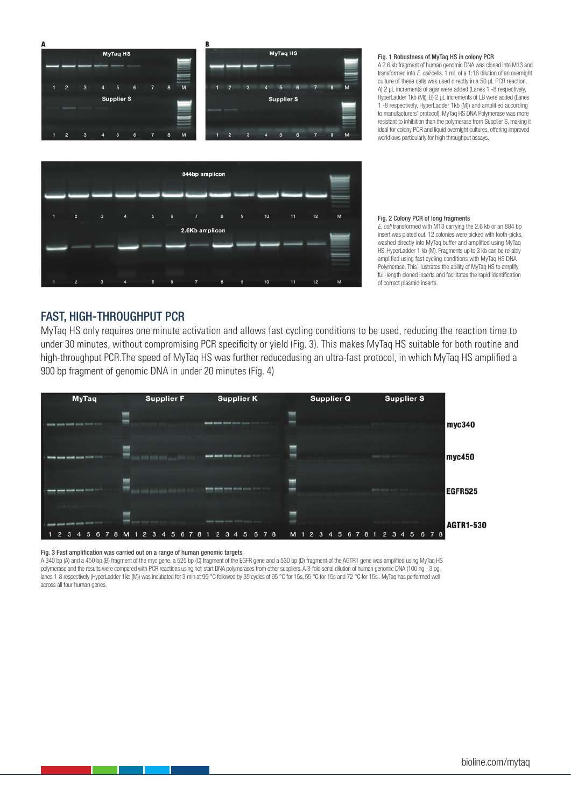

#### Fig. 1 Robustness of MyTaq HS in colony PCR

A 2.6 kb fragment of human genomic DNA was cloned into M13 and transformed into *E. coli* cells. 1 mL of a 1:16 dilution of an overnight culture of these cells was used directly in a 50 μL PCR reaction. A) 2 μL increments of agar were added (Lanes 1 -8 respectively, HyperLadder 1kb (M)). B) 2 μL increments of LB were added (Lanes 1 -8 respectively, HyperLadder 1kb (M)) and amplified according to manufacturers' protocol). MyTaq HS DNA Polymerase was more resistant to inhibition than the polymerase from Supplier S, making it ideal for colony PCR and liquid overnight cultures, offering improved workflows particularly for high throughput assays.



#### Fig. 2 Colony PCR of long fragments

*E. coli* transformed with M13 carrying the 2.6 kb or an 884 bp insert was plated out. 12 colonies were picked with tooth-picks, washed directly into MyTaq buffer and amplified using MyTaq HS. HyperLadder 1 kb (M). Fragments up to 3 kb can be reliably amplified using fast cycling conditions with MyTaq HS DNA Polymerase. This illustrates the ability of MyTaq HS to amplify full-length cloned inserts and facilitates the rapid identification of correct plasmid inserts.

## FAST, HIGH-THROUGHPUT PCR

MyTaq HS only requires one minute activation and allows fast cycling conditions to be used, reducing the reaction time to under 30 minutes, without compromising PCR specificity or yield (Fig. 3). This makes MyTaq HS suitable for both routine and high-throughput PCR.The speed of MyTaq HS was further reducedusing an ultra-fast protocol, in which MyTaq HS amplified a 900 bp fragment of genomic DNA in under 20 minutes (Fig. 4)



#### Fig. 3 Fast amplification was carried out on a range of human genomic targets

A 340 bp (A) and a 450 bp (B) fragment of the myc gene, a 525 bp (C) fragment of the EGFR gene and a 530 bp (D) fragment of the AGTR1 gene was amplified using MyTaq HS polymerase and the results were compared with PCR reactions using hot-start DNA polymerases from other suppliers. A 3-fold serial dilution of human genomic DNA (100 ng - 3 pg, lanes 1-8 respectively (HyperLadder 1kb (M)) was incubated for 3 min at 95 °C followed by 35 cycles of 95 °C for 15s, 55 °C for 15s and 72 °C for 15s. MyTaq has performed well across all four human genes.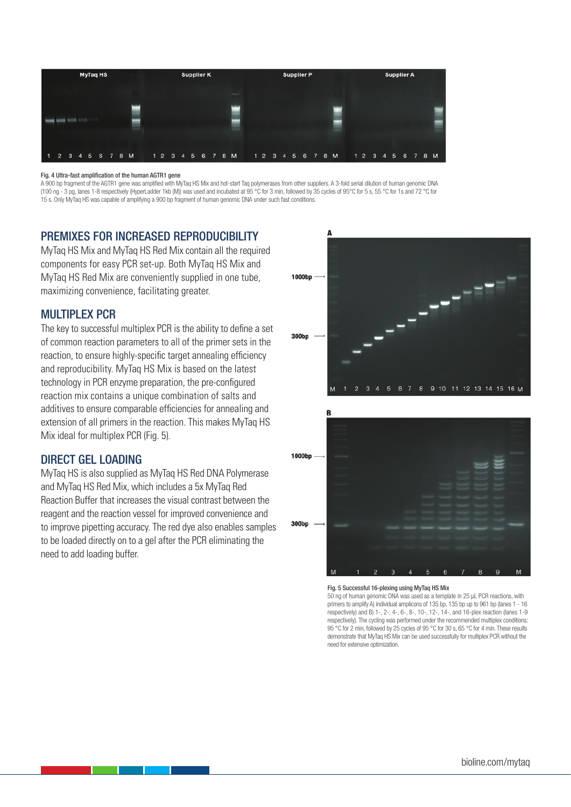

#### Fig. 4 Ultra-fast amplification of the human AGTR1 gene

A 900 bp fragment of the AGTR1 gene was amplified with MyTaq HS Mix and hot-start Taq polymerases from other suppliers. A 3-fold serial dilution of human genomic DNA (100 ng - 3 pg, lanes 1-8 respectively (HyperLadder 1kb (M)) was used and incubated at 95 °C for 3 min, followed by 35 cycles of 95°C for 5 s, 55 °C for 1s and 72 °C for 15 s. Only MyTaq HS was capable of amplifying a 900 bp fragment of human genomic DNA under such fast conditions.

## PREMIXES FOR INCREASED REPRODUCIBILITY

MyTaq HS Mix and MyTaq HS Red Mix contain all the required components for easy PCR set-up. Both MyTaq HS Mix and MyTaq HS Red Mix are conveniently supplied in one tube, maximizing convenience, facilitating greater.

## MULTIPLEX PCR

The key to successful multiplex PCR is the ability to define a set of common reaction parameters to all of the primer sets in the reaction, to ensure highly-specific target annealing efficiency and reproducibility. MyTaq HS Mix is based on the latest technology in PCR enzyme preparation, the pre-configured reaction mix contains a unique combination of salts and additives to ensure comparable efficiencies for annealing and extension of all primers in the reaction. This makes MyTaq HS Mix ideal for multiplex PCR (Fig. 5).

## DIRECT GEL LOADING

MyTaq HS is also supplied as MyTaq HS Red DNA Polymerase and MyTaq HS Red Mix, which includes a 5x MyTaq Red Reaction Buffer that increases the visual contrast between the reagent and the reaction vessel for improved convenience and to improve pipetting accuracy. The red dye also enables samples to be loaded directly on to a gel after the PCR eliminating the need to add loading buffer.





#### Fig. 5 Successful 16-plexing using MyTaq HS Mix

50 ng of human genomic DNA was used as a template in 25 μL PCR reactions, with primers to amplify A) individual amplicons of 135 bp, 135 bp up to 961 bp (lanes 1 - 16 respectively) and B) 1-, 2-, 4-, 6-, 8-, 10-, 12-, 14-, and 16-plex reaction (lanes 1-9 respectively). The cycling was performed under the recommended multiplex conditions: 95 °C for 2 min, followed by 25 cycles of 95 °C for 30 s, 65 °C for 4 min. These results demonstrate that MyTaq HS Mix can be used successfully for multiplex PCR without the need for extensive optimization.